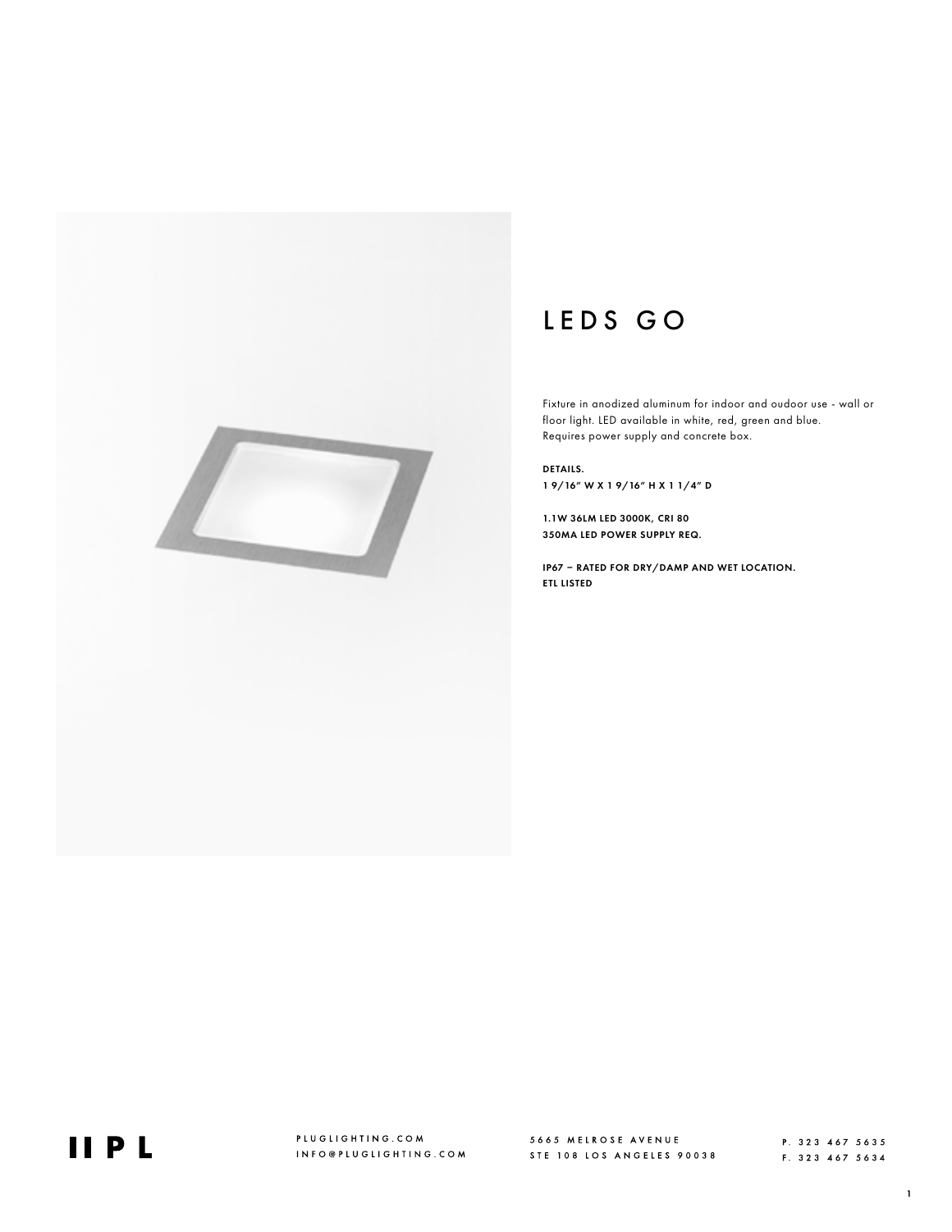

# LEDS GO

Fixture in anodized aluminum for indoor and oudoor use - wall or floor light. LED available in white, red, green and blue. Requires power supply and concrete box.

DETAILS. 1 9/16" W X 1 9/16" H X 1 1/4" D

1.1W 36LM LED 3000K, CRI 80 350MA LED POWER SUPPLY REQ.

IP67 – RATED FOR DRY/DAMP AND WET LOCATION. ETL LISTED



PLUGLIGHTING.COM INFO@PLUGLIGHTING.COM

5665 MELROSE AVENUE<br>STE 108 LOS ANGELES 90038

P. 323 467 5635 F. 323 467 5634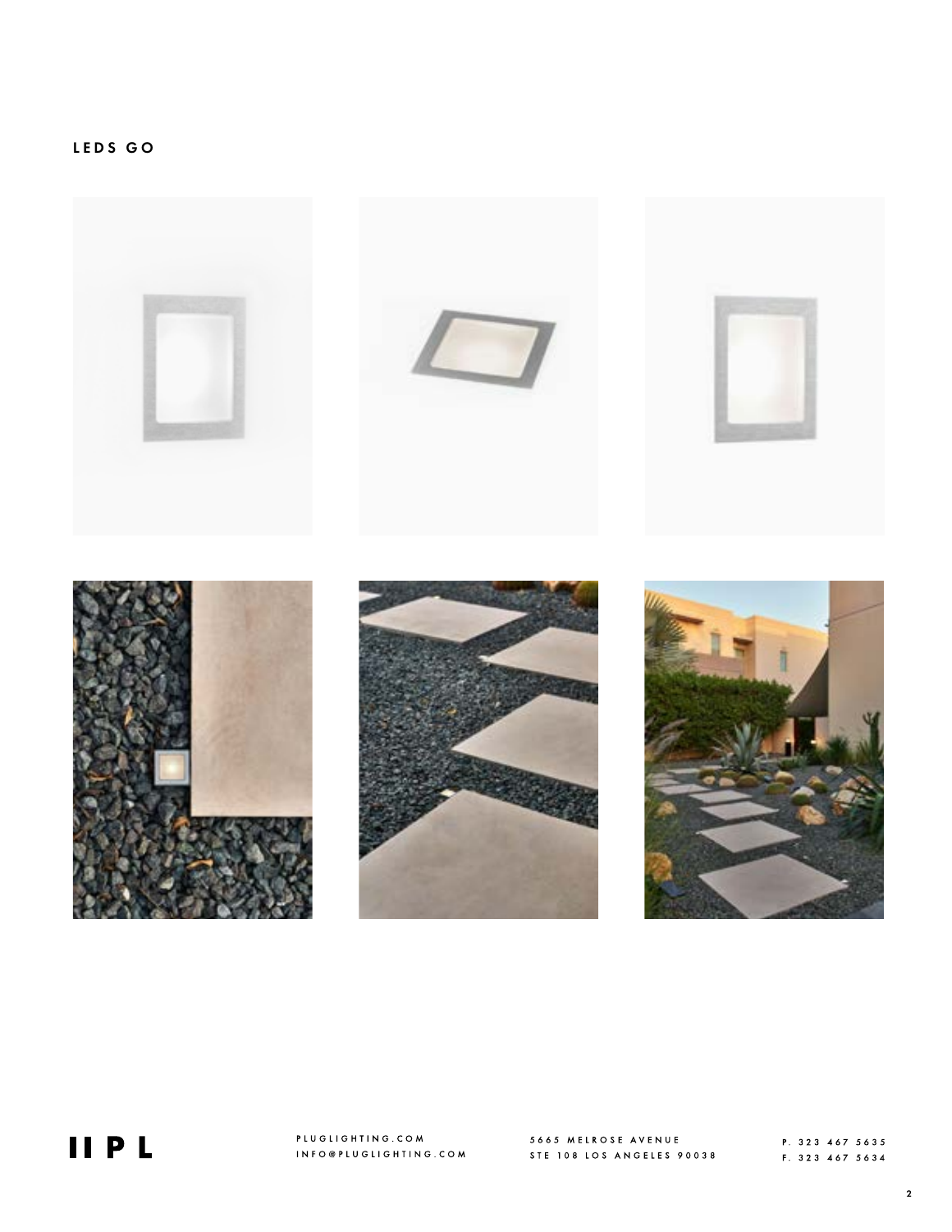

**IIPL** 

PLUGLIGHTING.COM INFO@PLUGLIGHTING.COM

5665 MELROSE AVENUE<br>STE 108 LOS ANGELES 90038

P. 323 467 5635 F. 323 467 5634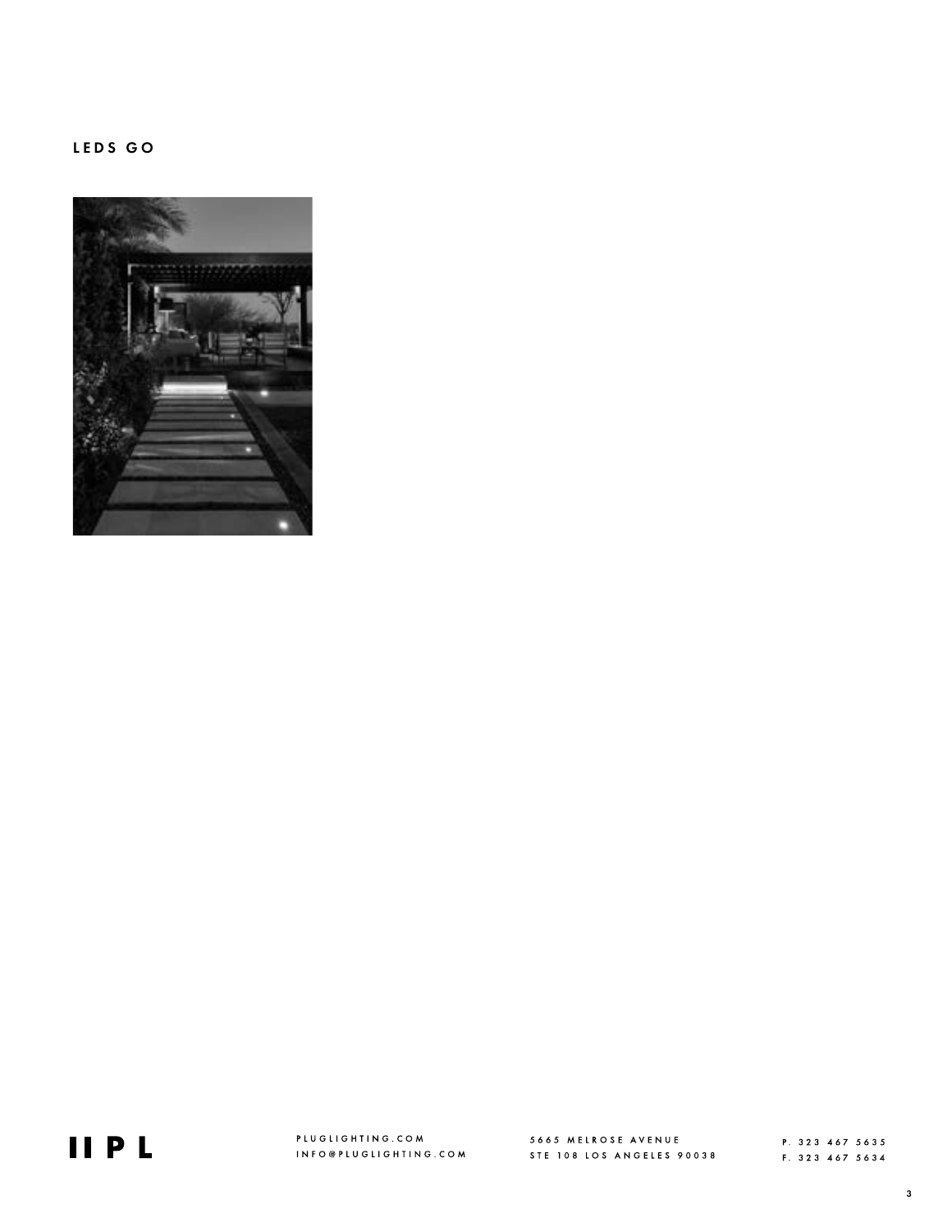### LEDS GO





PLUGLIGHTING.COM